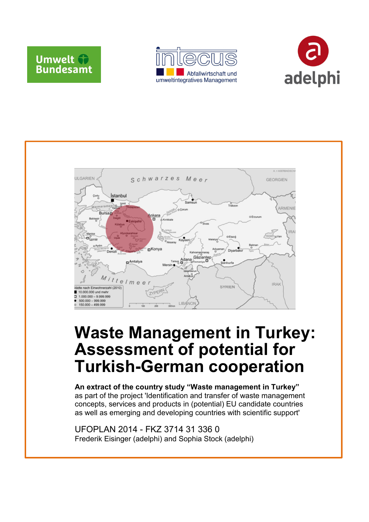







## **Waste Management in Turkey: Assessment of potential for Turkish-German cooperation**

**An extract of the country study "Waste management in Turkey"**  as part of the project 'Identification and transfer of waste management concepts, services and products in (potential) EU candidate countries as well as emerging and developing countries with scientific support'

UFOPLAN 2014 - FKZ 3714 31 336 0 Frederik Eisinger (adelphi) and Sophia Stock (adelphi)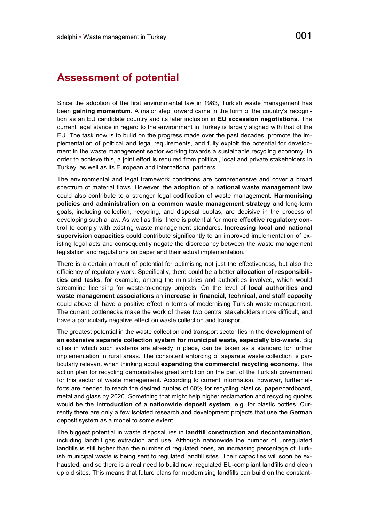## **Assessment of potential**

Since the adoption of the first environmental law in 1983, Turkish waste management has been **gaining momentum**. A major step forward came in the form of the country's recognition as an EU candidate country and its later inclusion in **EU accession negotiations**. The current legal stance in regard to the environment in Turkey is largely aligned with that of the EU. The task now is to build on the progress made over the past decades, promote the implementation of political and legal requirements, and fully exploit the potential for development in the waste management sector working towards a sustainable recycling economy. In order to achieve this, a joint effort is required from political, local and private stakeholders in Turkey, as well as its European and international partners.

The environmental and legal framework conditions are comprehensive and cover a broad spectrum of material flows. However, the **adoption of a national waste management law**  could also contribute to a stronger legal codification of waste management. **Harmonising policies and administration on a common waste management strategy** and long-term goals, including collection, recycling, and disposal quotas, are decisive in the process of developing such a law. As well as this, there is potential for **more effective regulatory control** to comply with existing waste management standards. **Increasing local and national supervision capacities** could contribute significantly to an improved implementation of existing legal acts and consequently negate the discrepancy between the waste management legislation and regulations on paper and their actual implementation.

There is a certain amount of potential for optimising not just the effectiveness, but also the efficiency of regulatory work. Specifically, there could be a better **allocation of responsibilities and tasks**, for example, among the ministries and authorities involved, which would streamline licensing for waste-to-energy projects. On the level of **local authorities and waste management associations** an **increase in financial, technical, and staff capacity** could above all have a positive effect in terms of modernising Turkish waste management. The current bottlenecks make the work of these two central stakeholders more difficult, and have a particularly negative effect on waste collection and transport.

The greatest potential in the waste collection and transport sector lies in the **development of an extensive separate collection system for municipal waste, especially bio-waste**. Big cities in which such systems are already in place, can be taken as a standard for further implementation in rural areas. The consistent enforcing of separate waste collection is particularly relevant when thinking about **expanding the commercial recycling economy**. The action plan for recycling demonstrates great ambition on the part of the Turkish government for this sector of waste management. According to current information, however, further efforts are needed to reach the desired quotas of 60% for recycling plastics, paper/cardboard, metal and glass by 2020. Something that might help higher reclamation and recycling quotas would be the **introduction of a nationwide deposit system**, e.g. for plastic bottles. Currently there are only a few isolated research and development projects that use the German deposit system as a model to some extent.

The biggest potential in waste disposal lies in **landfill construction and decontamination**, including landfill gas extraction and use. Although nationwide the number of unregulated landfills is still higher than the number of regulated ones, an increasing percentage of Turkish municipal waste is being sent to regulated landfill sites. Their capacities will soon be exhausted, and so there is a real need to build new, regulated EU-compliant landfills and clean up old sites. This means that future plans for modernising landfills can build on the constant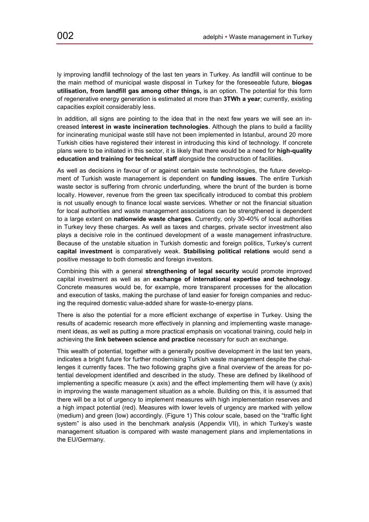ly improving landfill technology of the last ten years in Turkey. As landfill will continue to be the main method of municipal waste disposal in Turkey for the foreseeable future, **biogas utilisation, from landfill gas among other things,** is an option. The potential for this form of regenerative energy generation is estimated at more than **3TWh a year**; currently, existing capacities exploit considerably less.

In addition, all signs are pointing to the idea that in the next few years we will see an increased **interest in waste incineration technologies**. Although the plans to build a facility for incinerating municipal waste still have not been implemented in Istanbul, around 20 more Turkish cities have registered their interest in introducing this kind of technology. If concrete plans were to be initiated in this sector, it is likely that there would be a need for **high-quality education and training for technical staff** alongside the construction of facilities.

As well as decisions in favour of or against certain waste technologies, the future development of Turkish waste management is dependent on **funding issues**. The entire Turkish waste sector is suffering from chronic underfunding, where the brunt of the burden is borne locally. However, revenue from the green tax specifically introduced to combat this problem is not usually enough to finance local waste services. Whether or not the financial situation for local authorities and waste management associations can be strengthened is dependent to a large extent on **nationwide waste charges**. Currently, only 30-40% of local authorities in Turkey levy these charges. As well as taxes and charges, private sector investment also plays a decisive role in the continued development of a waste management infrastructure. Because of the unstable situation in Turkish domestic and foreign politics, Turkey's current **capital investment** is comparatively weak. **Stabilising political relations** would send a positive message to both domestic and foreign investors.

Combining this with a general **strengthening of legal security** would promote improved capital investment as well as an **exchange of international expertise and technology**. Concrete measures would be, for example, more transparent processes for the allocation and execution of tasks, making the purchase of land easier for foreign companies and reducing the required domestic value-added share for waste-to-energy plans.

There is also the potential for a more efficient exchange of expertise in Turkey. Using the results of academic research more effectively in planning and implementing waste management ideas, as well as putting a more practical emphasis on vocational training, could help in achieving the **link between science and practice** necessary for such an exchange.

This wealth of potential, together with a generally positive development in the last ten years, indicates a bright future for further modernising Turkish waste management despite the challenges it currently faces. The two following graphs give a final overview of the areas for potential development identified and described in the study. These are defined by likelihood of implementing a specific measure (x axis) and the effect implementing them will have (y axis) in improving the waste management situation as a whole. Building on this, it is assumed that there will be a lot of urgency to implement measures with high implementation reserves and a high impact potential (red). Measures with lower levels of urgency are marked with yellow (medium) and green (low) accordingly. (Figure 1) This colour scale, based on the "traffic light system" is also used in the benchmark analysis (Appendix VII), in which Turkey's waste management situation is compared with waste management plans and implementations in the EU/Germany.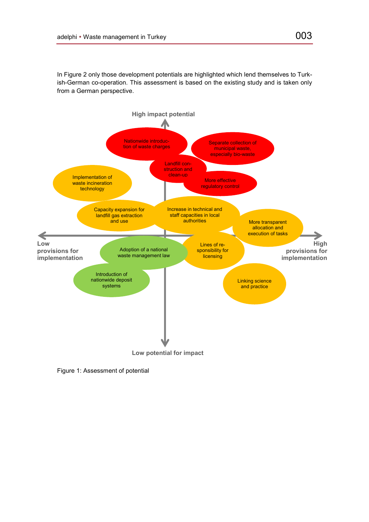In Figure 2 only those development potentials are highlighted which lend themselves to Turkish-German co-operation. This assessment is based on the existing study and is taken only from a German perspective.



Figure 1: Assessment of potential